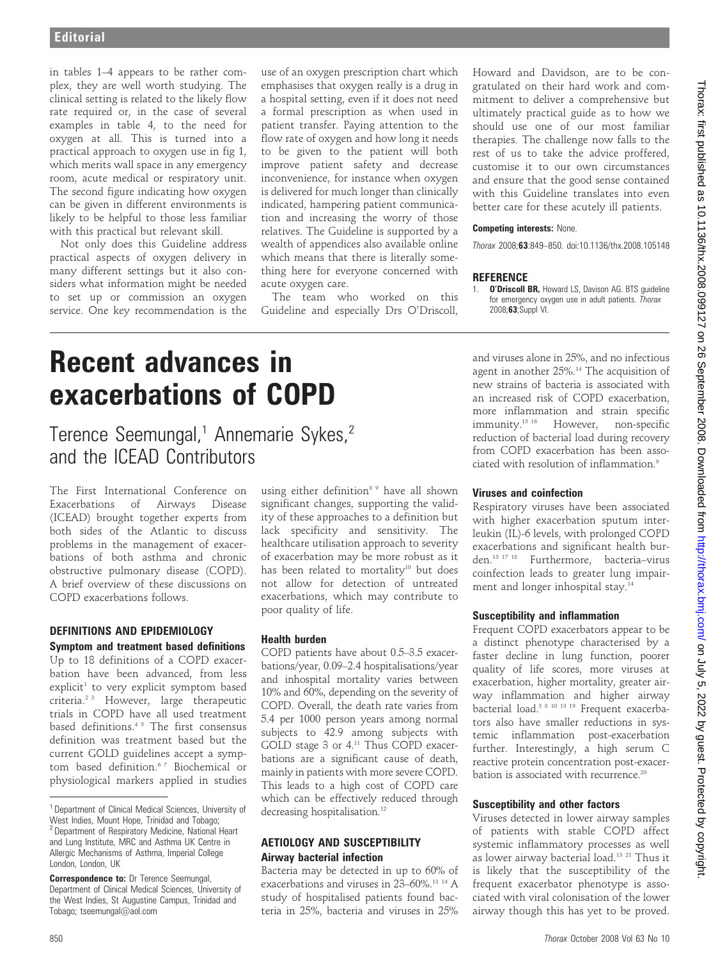in tables 1–4 appears to be rather complex, they are well worth studying. The clinical setting is related to the likely flow rate required or, in the case of several examples in table 4, to the need for oxygen at all. This is turned into a practical approach to oxygen use in fig 1, which merits wall space in any emergency room, acute medical or respiratory unit. The second figure indicating how oxygen can be given in different environments is likely to be helpful to those less familiar with this practical but relevant skill.

Not only does this Guideline address practical aspects of oxygen delivery in many different settings but it also considers what information might be needed to set up or commission an oxygen service. One key recommendation is the

use of an oxygen prescription chart which emphasises that oxygen really is a drug in a hospital setting, even if it does not need a formal prescription as when used in patient transfer. Paying attention to the flow rate of oxygen and how long it needs to be given to the patient will both improve patient safety and decrease inconvenience, for instance when oxygen is delivered for much longer than clinically indicated, hampering patient communication and increasing the worry of those relatives. The Guideline is supported by a wealth of appendices also available online which means that there is literally something here for everyone concerned with acute oxygen care.

The team who worked on this Guideline and especially Drs O'Driscoll, Howard and Davidson, are to be congratulated on their hard work and commitment to deliver a comprehensive but ultimately practical guide as to how we should use one of our most familiar therapies. The challenge now falls to the rest of us to take the advice proffered, customise it to our own circumstances and ensure that the good sense contained with this Guideline translates into even better care for these acutely ill patients.

#### Competing interests: None.

Thorax 2008;63:849–850. doi:10.1136/thx.2008.105148

#### **REFERENCE**

1. **O'Driscoll BR, Howard LS, Davison AG. BTS guideline** for emergency oxygen use in adult patients. Thorax 2008;63;Suppl VI.

# Recent advances in exacerbations of COPD

Terence Seemungal,<sup>1</sup> Annemarie Sykes,<sup>2</sup> and the ICEAD Contributors

The First International Conference on Exacerbations of Airways Disease (ICEAD) brought together experts from both sides of the Atlantic to discuss problems in the management of exacerbations of both asthma and chronic obstructive pulmonary disease (COPD). A brief overview of these discussions on COPD exacerbations follows.

#### DEFINITIONS AND EPIDEMIOLOGY Symptom and treatment based definitions

Up to 18 definitions of a COPD exacerbation have been advanced, from less explicit<sup>1</sup> to very explicit symptom based criteria.2 3 However, large therapeutic trials in COPD have all used treatment based definitions.4 5 The first consensus definition was treatment based but the current GOLD guidelines accept a symptom based definition.<sup>67</sup> Biochemical or physiological markers applied in studies using either definition<sup>8 9</sup> have all shown significant changes, supporting the validity of these approaches to a definition but lack specificity and sensitivity. The healthcare utilisation approach to severity of exacerbation may be more robust as it has been related to mortality<sup>10</sup> but does not allow for detection of untreated exacerbations, which may contribute to poor quality of life.

## Health burden

COPD patients have about 0.5–3.5 exacerbations/year, 0.09–2.4 hospitalisations/year and inhospital mortality varies between 10% and 60%, depending on the severity of COPD. Overall, the death rate varies from 5.4 per 1000 person years among normal subjects to 42.9 among subjects with GOLD stage 3 or 4.<sup>11</sup> Thus COPD exacerbations are a significant cause of death, mainly in patients with more severe COPD. This leads to a high cost of COPD care which can be effectively reduced through decreasing hospitalisation.<sup>12</sup>

# AETIOLOGY AND SUSCEPTIBILITY Airway bacterial infection

Bacteria may be detected in up to 60% of exacerbations and viruses in 23-60%.<sup>13 14</sup> A study of hospitalised patients found bacteria in 25%, bacteria and viruses in 25%

and viruses alone in 25%, and no infectious agent in another 25%.<sup>14</sup> The acquisition of new strains of bacteria is associated with an increased risk of COPD exacerbation, more inflammation and strain specific immunity.<sup>15 16</sup> However, non-specific reduction of bacterial load during recovery from COPD exacerbation has been associated with resolution of inflammation.9

## Viruses and coinfection

Respiratory viruses have been associated with higher exacerbation sputum interleukin (IL)-6 levels, with prolonged COPD exacerbations and significant health burden.13 17 18 Furthermore, bacteria–virus coinfection leads to greater lung impairment and longer inhospital stay.<sup>14</sup>

# Susceptibility and inflammation

Frequent COPD exacerbators appear to be a distinct phenotype characterised by a faster decline in lung function, poorer quality of life scores, more viruses at exacerbation, higher mortality, greater airway inflammation and higher airway bacterial load.3 8 10 13 19 Frequent exacerbators also have smaller reductions in systemic inflammation post-exacerbation further. Interestingly, a high serum C reactive protein concentration post-exacerbation is associated with recurrence.<sup>20</sup>

## Susceptibility and other factors

Viruses detected in lower airway samples of patients with stable COPD affect systemic inflammatory processes as well as lower airway bacterial load.13 21 Thus it is likely that the susceptibility of the frequent exacerbator phenotype is associated with viral colonisation of the lower airway though this has yet to be proved.

<sup>1</sup> Department of Clinical Medical Sciences, University of West Indies, Mount Hope, Trinidad and Tobago; <sup>2</sup> Department of Respiratory Medicine, National Heart and Lung Institute, MRC and Asthma UK Centre in Allergic Mechanisms of Asthma, Imperial College London, London, UK

**Correspondence to: Dr Terence Seemungal,** Department of Clinical Medical Sciences, University of the West Indies, St Augustine Campus, Trinidad and Tobago; tseemungal@aol.com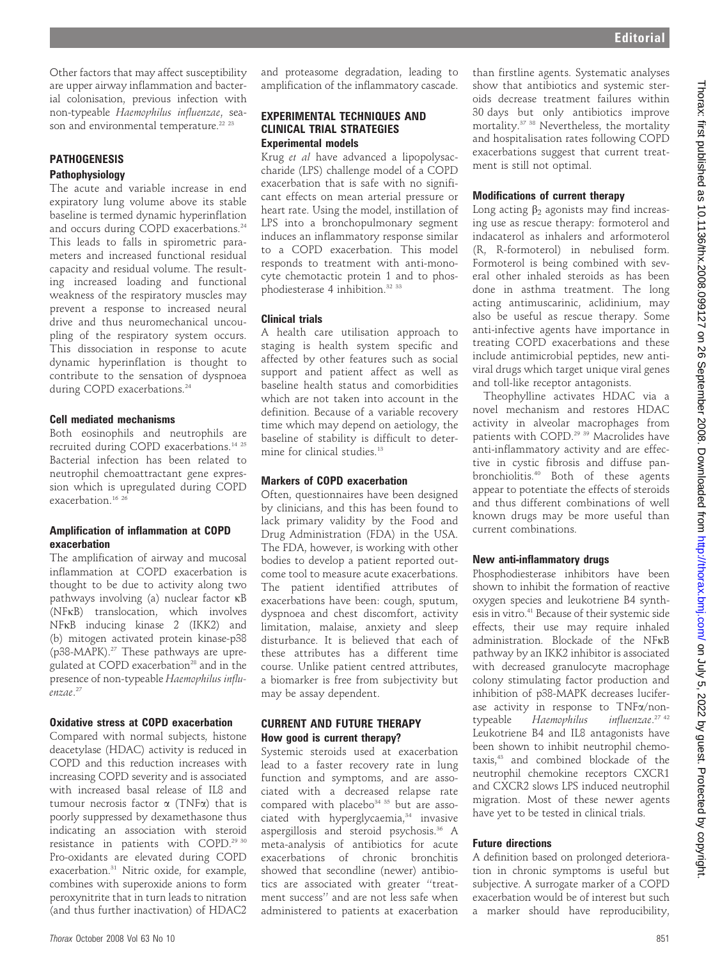Other factors that may affect susceptibility are upper airway inflammation and bacterial colonisation, previous infection with non-typeable Haemophilus influenzae, season and environmental temperature.<sup>22 23</sup>

#### **PATHOGENESIS** Pathophysiology

The acute and variable increase in end expiratory lung volume above its stable baseline is termed dynamic hyperinflation and occurs during COPD exacerbations.<sup>24</sup> This leads to falls in spirometric parameters and increased functional residual capacity and residual volume. The resulting increased loading and functional weakness of the respiratory muscles may prevent a response to increased neural drive and thus neuromechanical uncoupling of the respiratory system occurs. This dissociation in response to acute dynamic hyperinflation is thought to contribute to the sensation of dyspnoea during COPD exacerbations.<sup>24</sup>

## Cell mediated mechanisms

Both eosinophils and neutrophils are recruited during COPD exacerbations.<sup>14 25</sup> Bacterial infection has been related to neutrophil chemoattractant gene expression which is upregulated during COPD exacerbation.<sup>16</sup><sup>26</sup>

## Amplification of inflammation at COPD exacerbation

The amplification of airway and mucosal inflammation at COPD exacerbation is thought to be due to activity along two pathways involving (a) nuclear factor  $\kappa$ B (NFkB) translocation, which involves NFkB inducing kinase 2 (IKK2) and (b) mitogen activated protein kinase-p38 (p38-MAPK).<sup>27</sup> These pathways are upregulated at COPD exacerbation<sup>28</sup> and in the presence of non-typeable Haemophilus influenzae. 27

# Oxidative stress at COPD exacerbation

Compared with normal subjects, histone deacetylase (HDAC) activity is reduced in COPD and this reduction increases with increasing COPD severity and is associated with increased basal release of IL8 and tumour necrosis factor  $\alpha$  (TNF $\alpha$ ) that is poorly suppressed by dexamethasone thus indicating an association with steroid resistance in patients with COPD.29 30 Pro-oxidants are elevated during COPD exacerbation.31 Nitric oxide, for example, combines with superoxide anions to form peroxynitrite that in turn leads to nitration (and thus further inactivation) of HDAC2

and proteasome degradation, leading to amplification of the inflammatory cascade.

## EXPERIMENTAL TECHNIQUES AND CLINICAL TRIAL STRATEGIES Experimental models

Krug et al have advanced a lipopolysaccharide (LPS) challenge model of a COPD exacerbation that is safe with no significant effects on mean arterial pressure or heart rate. Using the model, instillation of LPS into a bronchopulmonary segment induces an inflammatory response similar to a COPD exacerbation. This model responds to treatment with anti-monocyte chemotactic protein 1 and to phosphodiesterase 4 inhibition.<sup>32 33</sup>

# Clinical trials

A health care utilisation approach to staging is health system specific and affected by other features such as social support and patient affect as well as baseline health status and comorbidities which are not taken into account in the definition. Because of a variable recovery time which may depend on aetiology, the baseline of stability is difficult to determine for clinical studies.<sup>13</sup>

# Markers of COPD exacerbation

Often, questionnaires have been designed by clinicians, and this has been found to lack primary validity by the Food and Drug Administration (FDA) in the USA. The FDA, however, is working with other bodies to develop a patient reported outcome tool to measure acute exacerbations. The patient identified attributes of exacerbations have been: cough, sputum, dyspnoea and chest discomfort, activity limitation, malaise, anxiety and sleep disturbance. It is believed that each of these attributes has a different time course. Unlike patient centred attributes, a biomarker is free from subjectivity but may be assay dependent.

## CURRENT AND FUTURE THERAPY How good is current therapy?

Systemic steroids used at exacerbation lead to a faster recovery rate in lung function and symptoms, and are associated with a decreased relapse rate compared with placebo<sup>34 35</sup> but are associated with hyperglycaemia,<sup>34</sup> invasive aspergillosis and steroid psychosis.<sup>36</sup> A meta-analysis of antibiotics for acute exacerbations of chronic bronchitis showed that secondline (newer) antibiotics are associated with greater ''treatment success'' and are not less safe when administered to patients at exacerbation

than firstline agents. Systematic analyses show that antibiotics and systemic steroids decrease treatment failures within 30 days but only antibiotics improve mortality.37 38 Nevertheless, the mortality and hospitalisation rates following COPD exacerbations suggest that current treatment is still not optimal.

# Modifications of current therapy

Long acting  $\beta_2$  agonists may find increasing use as rescue therapy: formoterol and indacaterol as inhalers and arformoterol (R, R-formoterol) in nebulised form. Formoterol is being combined with several other inhaled steroids as has been done in asthma treatment. The long acting antimuscarinic, aclidinium, may also be useful as rescue therapy. Some anti-infective agents have importance in treating COPD exacerbations and these include antimicrobial peptides, new antiviral drugs which target unique viral genes and toll-like receptor antagonists.

Theophylline activates HDAC via a novel mechanism and restores HDAC activity in alveolar macrophages from patients with COPD.29 39 Macrolides have anti-inflammatory activity and are effective in cystic fibrosis and diffuse panbronchiolitis.40 Both of these agents appear to potentiate the effects of steroids and thus different combinations of well known drugs may be more useful than current combinations.

# New anti-inflammatory drugs

Phosphodiesterase inhibitors have been shown to inhibit the formation of reactive oxygen species and leukotriene B4 synthesis in vitro.<sup>41</sup> Because of their systemic side effects, their use may require inhaled administration. Blockade of the NFkB pathway by an IKK2 inhibitor is associated with decreased granulocyte macrophage colony stimulating factor production and inhibition of p38-MAPK decreases luciferase activity in response to TNFa/nontypeable Haemophilus influenzae.<sup>27</sup> <sup>42</sup> Leukotriene B4 and IL8 antagonists have been shown to inhibit neutrophil chemotaxis,43 and combined blockade of the neutrophil chemokine receptors CXCR1 and CXCR2 slows LPS induced neutrophil migration. Most of these newer agents have yet to be tested in clinical trials.

# Future directions

A definition based on prolonged deterioration in chronic symptoms is useful but subjective. A surrogate marker of a COPD exacerbation would be of interest but such a marker should have reproducibility,